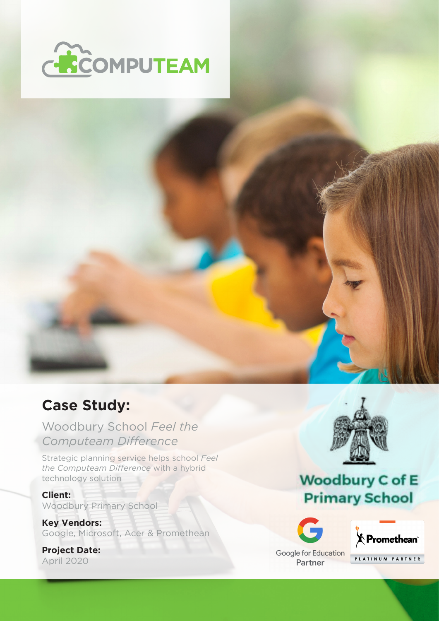



### **Case Study:**

### Woodbury School *Feel the Computeam Difference*

Strategic planning service helps school *Feel the Computeam Difference* with a hybrid technology solution

**Client:** Woodbury Primary School

**Key Vendors:** Google, Microsoft, Acer & Promethean

**Project Date:** April 2020



# **Woodbury C of E Primary School**





Partner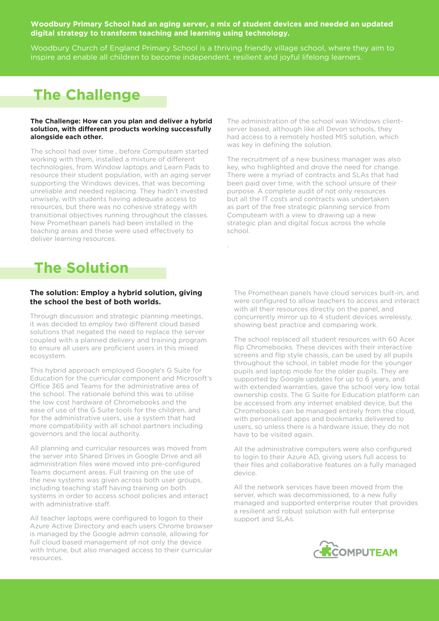### **Woodbury Primary School had an aging server, a mix of student devices and needed an updated digital strategy to transform teaching and learning using technology.**

Woodbury Church of England Primary School is a thriving friendly village school, where they aim to inspire and enable all children to become independent, resilient and joyful lifelong learners.

.

## **The Challenge**

#### **The Challenge: How can you plan and deliver a hybrid solution, with different products working successfully alongside each other.**

The school had over time , before Computeam started working with them, installed a mixture of different technologies, from Window laptops and Learn Pads to resource their student population, with an aging server supporting the Windows devices, that was becoming unreliable and needed replacing. They hadn't invested unwisely, with students having adequate access to resources, but there was no cohesive strategy with transitional objectives running throughout the classes. New Promethean panels had been installed in the teaching areas and these were used effectively to deliver learning resources.

The administration of the school was Windows clientserver based, although like all Devon schools, they had access to a remotely hosted MIS solution, which was key in defining the solution.

The recruitment of a new business manager was also key, who highlighted and drove the need for change. There were a myriad of contracts and SLAs that had been paid over time, with the school unsure of their purpose. A complete audit of not only resources but all the IT costs and contracts was undertaken as part of the free strategic planning service from Computeam with a view to drawing up a new strategic plan and digital focus across the whole school.

## **The Solution**

#### **The solution: Employ a hybrid solution, giving the school the best of both worlds.**

Through discussion and strategic planning meetings, it was decided to employ two different cloud based solutions that negated the need to replace the server coupled with a planned delivery and training program to ensure all users are proficient users in this mixed ecosystem.

This hybrid approach employed Google's G Suite for Education for the curricular component and Microsoft's Office 365 and Teams for the administrative area of the school. The rationale behind this was to utilise the low cost hardware of Chromebooks and the ease of use of the G Suite tools for the children, and for the administrative users, use a system that had more compatibility with all school partners including governors and the local authority.

All planning and curricular resources was moved from the server into Shared Drives in Google Drive and all administration files were moved into pre-configured Teams document areas. Full training on the use of the new systems was given across both user groups, including teaching staff having training on both systems in order to access school policies and interact with administrative staff.

All teacher laptops were configured to logon to their Azure Active Directory and each users Chrome browser is managed by the Google admin console, allowing for full cloud based management of not only the device with Intune, but also managed access to their curricular resources.

The Promethean panels have cloud services built-in, and were configured to allow teachers to access and interact with all their resources directly on the panel, and concurrently mirror up to 4 student devices wirelessly, showing best practice and comparing work.

The school replaced all student resources with 60 Acer flip Chromebooks. These devices with their interactive screens and flip style chassis, can be used by all pupils throughout the school, in tablet mode for the younger pupils and laptop mode for the older pupils. They are supported by Google updates for up to 6 years, and with extended warranties, gave the school very low total ownership costs. The G Suite for Education platform can be accessed from any internet enabled device, but the Chromebooks can be managed entirely from the cloud, with personalised apps and bookmarks delivered to users, so unless there is a hardware issue, they do not have to be visited again.

All the administrative computers were also configured to login to their Azure AD, giving users full access to their files and collaborative features on a fully managed device.

All the network services have been moved from the server, which was decommissioned, to a new fully managed and supported enterprise router that provides a resilient and robust solution with full enterprise support and SLAs.